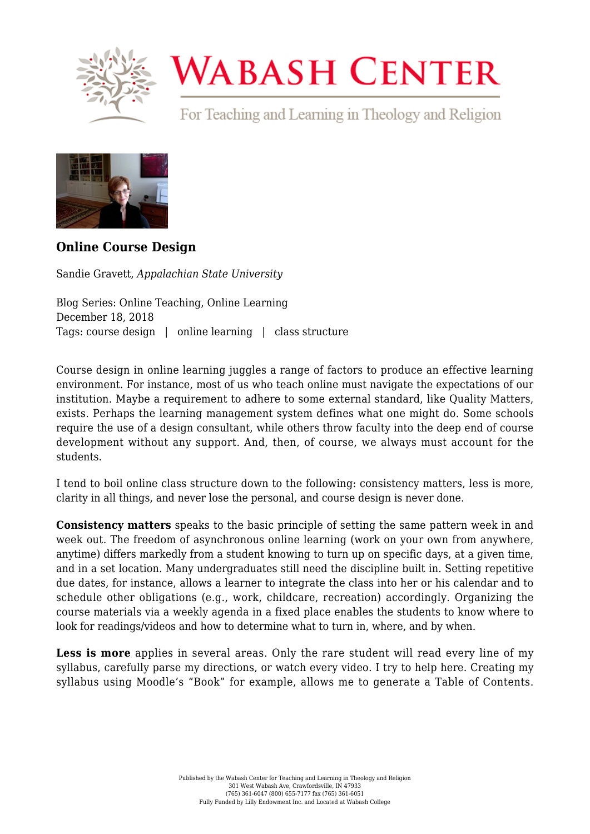

## **WABASH CENTER**

For Teaching and Learning in Theology and Religion



## **[Online Course Design](https://www.wabashcenter.wabash.edu/2018/12/online-course-design/)**

Sandie Gravett, *Appalachian State University*

Blog Series: Online Teaching, Online Learning December 18, 2018 Tags: course design | online learning | class structure

Course design in online learning juggles a range of factors to produce an effective learning environment. For instance, most of us who teach online must navigate the expectations of our institution. Maybe a requirement to adhere to some external standard, like Quality Matters, exists. Perhaps the learning management system defines what one might do. Some schools require the use of a design consultant, while others throw faculty into the deep end of course development without any support. And, then, of course, we always must account for the students.

I tend to boil online class structure down to the following: consistency matters, less is more, clarity in all things, and never lose the personal, and course design is never done.

**Consistency matters** speaks to the basic principle of setting the same pattern week in and week out. The freedom of asynchronous online learning (work on your own from anywhere, anytime) differs markedly from a student knowing to turn up on specific days, at a given time, and in a set location. Many undergraduates still need the discipline built in. Setting repetitive due dates, for instance, allows a learner to integrate the class into her or his calendar and to schedule other obligations (e.g., work, childcare, recreation) accordingly. Organizing the course materials via a weekly agenda in a fixed place enables the students to know where to look for readings/videos and how to determine what to turn in, where, and by when.

**Less is more** applies in several areas. Only the rare student will read every line of my syllabus, carefully parse my directions, or watch every video. I try to help here. Creating my syllabus using Moodle's "Book" for example, allows me to generate a Table of Contents.